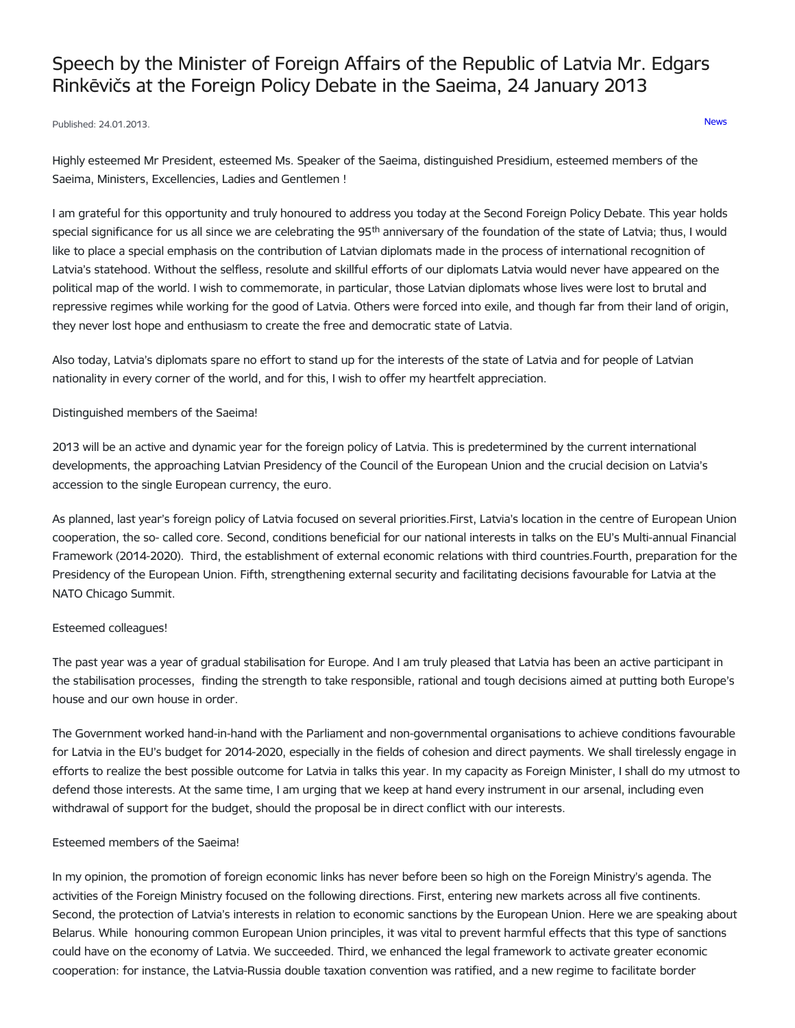# Speech by the Minister of Foreign Affairs of the Republic of Latvia Mr. Edgars Rinkēvičs at the Foreign Policy Debate in the Saeima, 24 January 2013

# Published: 24.01.2013. [News](https://www.mfa.gov.lv/en/articles?category%255B253%255D=253)

Highly esteemed Mr President, esteemed Ms. Speaker of the Saeima, distinguished Presidium, esteemed members of the Saeima, Ministers, Excellencies, Ladies and Gentlemen !

I am grateful for this opportunity and truly honoured to address you today at the Second Foreign Policy Debate. This year holds special significance for us all since we are celebrating the  $95<sup>th</sup>$  anniversary of the foundation of the state of Latvia; thus, I would like to place a special emphasis on the contribution of Latvian diplomats made in the process of international recognition of Latvia's statehood. Without the selfless, resolute and skillful efforts of our diplomats Latvia would never have appeared on the political map of the world. I wish to commemorate, in particular, those Latvian diplomats whose lives were lost to brutal and repressive regimes while working for the good of Latvia. Others were forced into exile, and though far from their land of origin, they never lost hope and enthusiasm to create the free and democratic state of Latvia.

Also today, Latvia's diplomats spare no effort to stand up for the interests of the state of Latvia and for people of Latvian nationality in every corner of the world, and for this, I wish to offer my heartfelt appreciation.

# Distinguished members of the Saeima!

2013 will be an active and dynamic year for the foreign policy of Latvia. This is predetermined by the current international developments, the approaching Latvian Presidency of the Council of the European Union and the crucial decision on Latvia's accession to the single European currency, the euro.

As planned, last year's foreign policy of Latvia focused on several priorities.First, Latvia's location in the centre of European Union cooperation, the so- called core. Second, conditions beneficial for our national interests in talks on the EU's Multi-annual Financial Framework (2014-2020). Third, the establishment of external economic relations with third countries.Fourth, preparation for the Presidency of the European Union. Fifth, strengthening external security and facilitating decisions favourable for Latvia at the NATO Chicago Summit.

## Esteemed colleagues!

The past year was a year of gradual stabilisation for Europe. And I am truly pleased that Latvia has been an active participant in the stabilisation processes, finding the strength to take responsible, rational and tough decisions aimed at putting both Europe's house and our own house in order.

The Government worked hand-in-hand with the Parliament and non-governmental organisations to achieve conditions favourable for Latvia in the EU's budget for 2014-2020, especially in the fields of cohesion and direct payments. We shall tirelessly engage in efforts to realize the best possible outcome for Latvia in talks this year. In my capacity as Foreign Minister, I shall do my utmost to defend those interests. At the same time, I am urging that we keep at hand every instrument in our arsenal, including even withdrawal of support for the budget, should the proposal be in direct conflict with our interests.

## Esteemed members of the Saeima!

In my opinion, the promotion of foreign economic links has never before been so high on the Foreign Ministry's agenda. The activities of the Foreign Ministry focused on the following directions. First, entering new markets across all five continents. Second, the protection of Latvia's interests in relation to economic sanctions by the European Union. Here we are speaking about Belarus. While honouring common European Union principles, it was vital to prevent harmful effects that this type of sanctions could have on the economy of Latvia. We succeeded. Third, we enhanced the legal framework to activate greater economic cooperation: for instance, the Latvia-Russia double taxation convention was ratified, and a new regime to facilitate border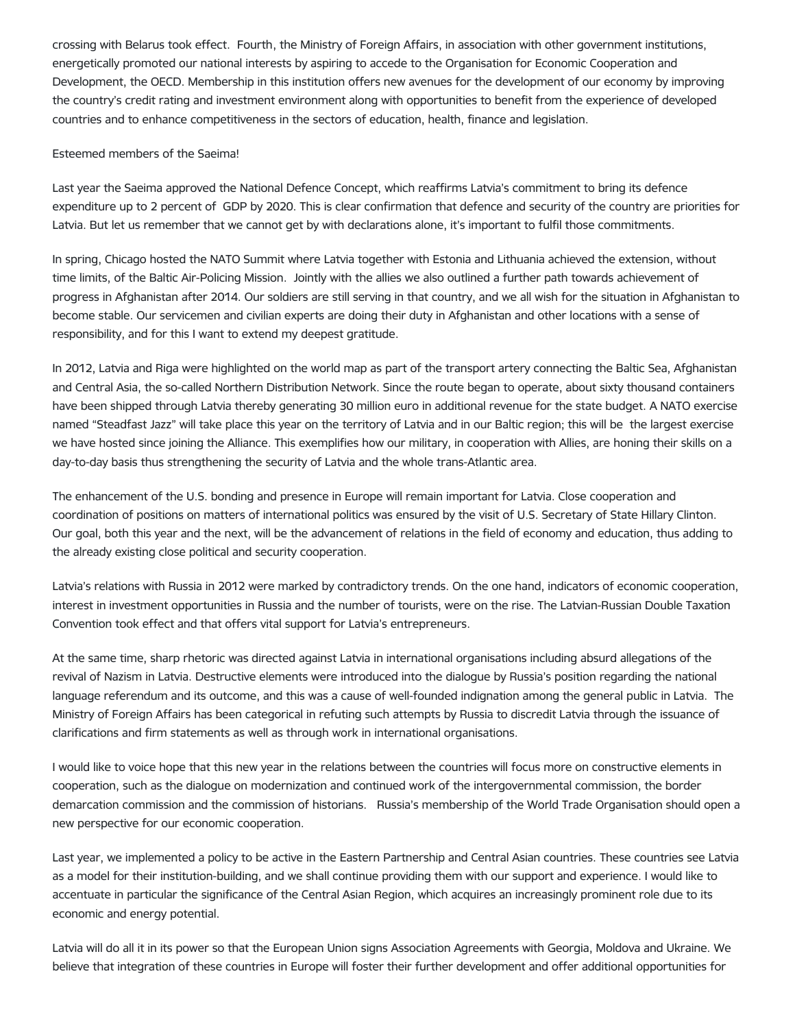crossing with Belarus took effect. Fourth, the Ministry of Foreign Affairs, in association with other government institutions, energetically promoted our national interests by aspiring to accede to the Organisation for Economic Cooperation and Development, the OECD. Membership in this institution offers new avenues for the development of our economy by improving the country's credit rating and investment environment along with opportunities to benefit from the experience of developed countries and to enhance competitiveness in the sectors of education, health, finance and legislation.

## Esteemed members of the Saeima!

Last year the Saeima approved the National Defence Concept, which reaffirms Latvia's commitment to bring its defence expenditure up to 2 percent of GDP by 2020. This is clear confirmation that defence and security of the country are priorities for Latvia. But let us remember that we cannot get by with declarations alone, it's important to fulfil those commitments.

In spring, Chicago hosted the NATO Summit where Latvia together with Estonia and Lithuania achieved the extension, without time limits, of the Baltic Air-Policing Mission. Jointly with the allies we also outlined a further path towards achievement of progress in Afghanistan after 2014. Our soldiers are still serving in that country, and we all wish for the situation in Afghanistan to become stable. Our servicemen and civilian experts are doing their duty in Afghanistan and other locations with a sense of responsibility, and for this I want to extend my deepest gratitude.

In 2012, Latvia and Riga were highlighted on the world map as part of the transport artery connecting the Baltic Sea, Afghanistan and Central Asia, the so-called Northern Distribution Network. Since the route began to operate, about sixty thousand containers have been shipped through Latvia thereby generating 30 million euro in additional revenue for the state budget. A NATO exercise named "Steadfast Jazz" will take place this year on the territory of Latvia and in our Baltic region; this will be the largest exercise we have hosted since joining the Alliance. This exemplifies how our military, in cooperation with Allies, are honing their skills on a day-to-day basis thus strengthening the security of Latvia and the whole trans-Atlantic area.

The enhancement of the U.S. bonding and presence in Europe will remain important for Latvia. Close cooperation and coordination of positions on matters of international politics was ensured by the visit of U.S. Secretary of State Hillary Clinton. Our goal, both this year and the next, will be the advancement of relations in the field of economy and education, thus adding to the already existing close political and security cooperation.

Latvia's relations with Russia in 2012 were marked by contradictory trends. On the one hand, indicators of economic cooperation, interest in investment opportunities in Russia and the number of tourists, were on the rise. The Latvian-Russian Double Taxation Convention took effect and that offers vital support for Latvia's entrepreneurs.

At the same time, sharp rhetoric was directed against Latvia in international organisations including absurd allegations of the revival of Nazism in Latvia. Destructive elements were introduced into the dialogue by Russia's position regarding the national language referendum and its outcome, and this was a cause of well-founded indignation among the general public in Latvia. The Ministry of Foreign Affairs has been categorical in refuting such attempts by Russia to discredit Latvia through the issuance of clarifications and firm statements as well as through work in international organisations.

I would like to voice hope that this new year in the relations between the countries will focus more on constructive elements in cooperation, such as the dialogue on modernization and continued work of the intergovernmental commission, the border demarcation commission and the commission of historians. Russia's membership of the World Trade Organisation should open a new perspective for our economic cooperation.

Last year, we implemented a policy to be active in the Eastern Partnership and Central Asian countries. These countries see Latvia as a model for their institution-building, and we shall continue providing them with our support and experience. I would like to accentuate in particular the significance of the Central Asian Region, which acquires an increasingly prominent role due to its economic and energy potential.

Latvia will do all it in its power so that the European Union signs Association Agreements with Georgia, Moldova and Ukraine. We believe that integration of these countries in Europe will foster their further development and offer additional opportunities for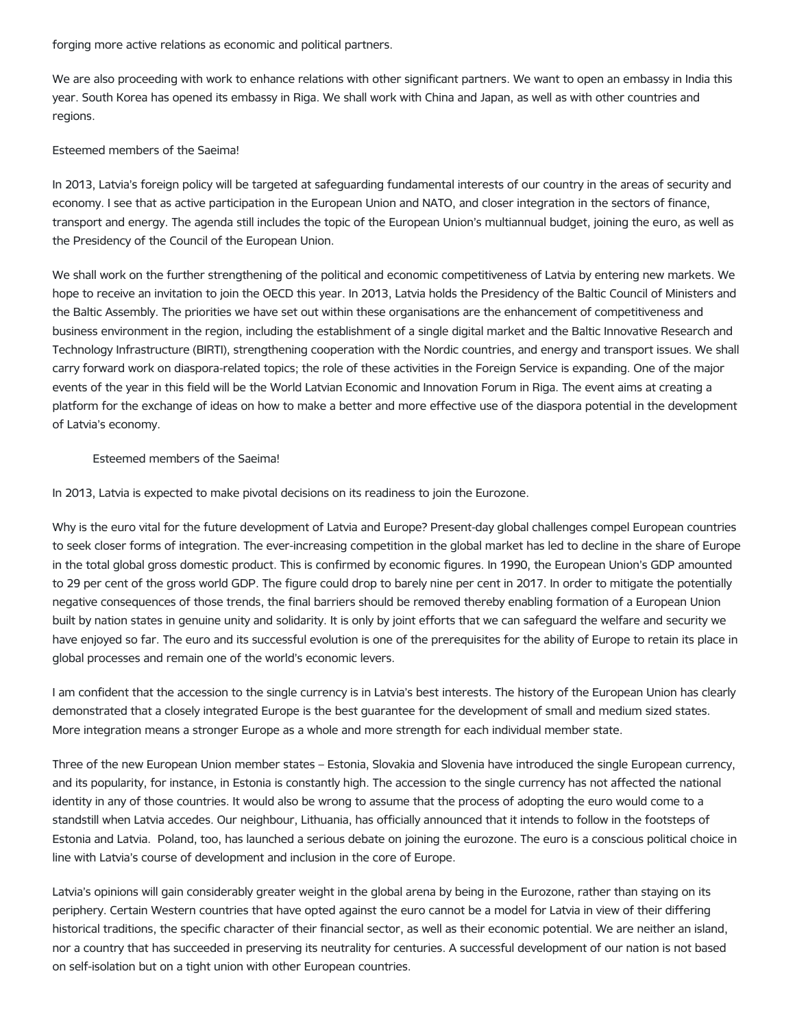forging more active relations as economic and political partners.

We are also proceeding with work to enhance relations with other significant partners. We want to open an embassy in India this year. South Korea has opened its embassy in Riga. We shall work with China and Japan, as well as with other countries and regions.

# Esteemed members of the Saeima!

In 2013, Latvia's foreign policy will be targeted at safeguarding fundamental interests of our country in the areas of security and economy. I see that as active participation in the European Union and NATO, and closer integration in the sectors of finance, transport and energy. The agenda still includes the topic of the European Union's multiannual budget, joining the euro, as well as the Presidency of the Council of the European Union.

We shall work on the further strengthening of the political and economic competitiveness of Latvia by entering new markets. We hope to receive an invitation to join the OECD this year. In 2013, Latvia holds the Presidency of the Baltic Council of Ministers and the Baltic Assembly. The priorities we have set out within these organisations are the enhancement of competitiveness and business environment in the region, including the establishment of a single digital market and the Baltic Innovative Research and Technology Infrastructure (BIRTI), strengthening cooperation with the Nordic countries, and energy and transport issues. We shall carry forward work on diaspora-related topics; the role of these activities in the Foreign Service is expanding. One of the major events of the year in this field will be the World Latvian Economic and Innovation Forum in Riga. The event aims at creating a platform for the exchange of ideas on how to make a better and more effective use of the diaspora potential in the development of Latvia's economy.

## Esteemed members of the Saeima!

In 2013, Latvia is expected to make pivotal decisions on its readiness to join the Eurozone.

Why is the euro vital for the future development of Latvia and Europe? Present-day global challenges compel European countries to seek closer forms of integration. The ever-increasing competition in the global market has led to decline in the share of Europe in the total global gross domestic product. This is confirmed by economic figures. In 1990, the European Union's GDP amounted to 29 per cent of the gross world GDP. The figure could drop to barely nine per cent in 2017. In order to mitigate the potentially negative consequences of those trends, the final barriers should be removed thereby enabling formation of a European Union built by nation states in genuine unity and solidarity. It is only by joint efforts that we can safeguard the welfare and security we have enjoyed so far. The euro and its successful evolution is one of the prerequisites for the ability of Europe to retain its place in global processes and remain one of the world's economic levers.

I am confident that the accession to the single currency is in Latvia's best interests. The history of the European Union has clearly demonstrated that a closely integrated Europe is the best guarantee for the development of small and medium sized states. More integration means a stronger Europe as a whole and more strength for each individual member state.

Three of the new European Union member states – Estonia, Slovakia and Slovenia have introduced the single European currency, and its popularity, for instance, in Estonia is constantly high. The accession to the single currency has not affected the national identity in any of those countries. It would also be wrong to assume that the process of adopting the euro would come to a standstill when Latvia accedes. Our neighbour, Lithuania, has officially announced that it intends to follow in the footsteps of Estonia and Latvia. Poland, too, has launched a serious debate on joining the eurozone. The euro is a conscious political choice in line with Latvia's course of development and inclusion in the core of Europe.

Latvia's opinions will gain considerably greater weight in the global arena by being in the Eurozone, rather than staying on its periphery. Certain Western countries that have opted against the euro cannot be a model for Latvia in view of their differing historical traditions, the specific character of their financial sector, as well as their economic potential. We are neither an island, nor a country that has succeeded in preserving its neutrality for centuries. A successful development of our nation is not based on self-isolation but on a tight union with other European countries.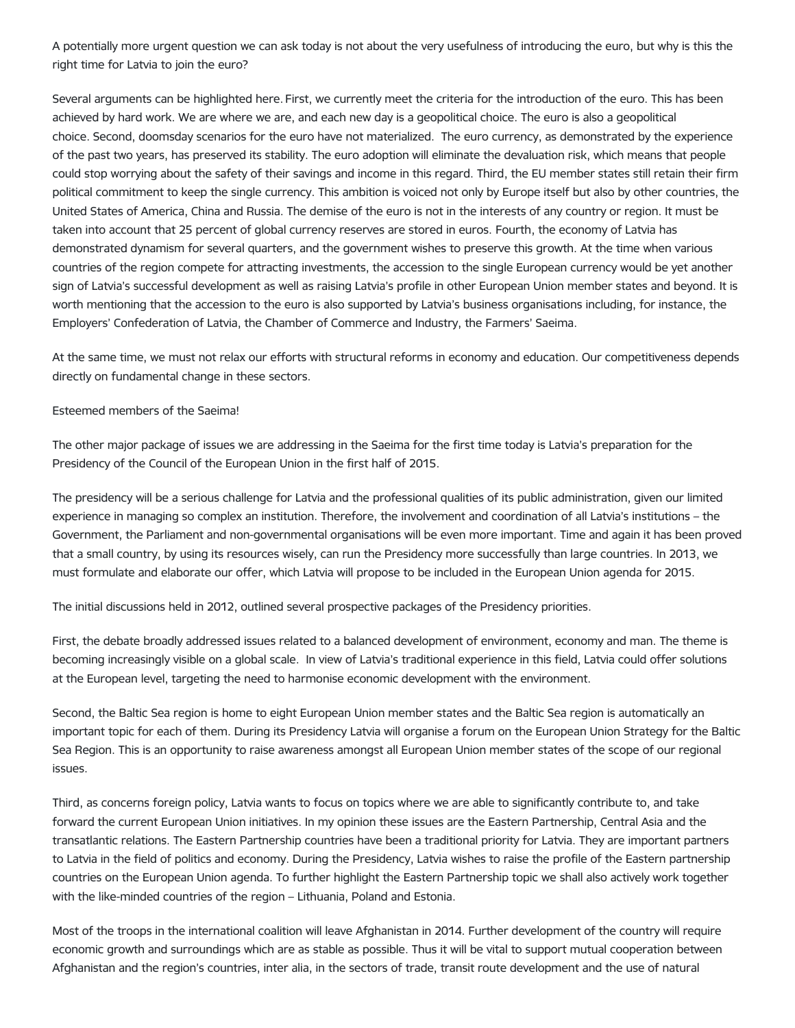A potentially more urgent question we can ask today is not about the very usefulness of introducing the euro, but why is this the right time for Latvia to join the euro?

Several arguments can be highlighted here. First, we currently meet the criteria for the introduction of the euro. This has been achieved by hard work. We are where we are, and each new day is a geopolitical choice. The euro is also a geopolitical choice. Second, doomsday scenarios for the euro have not materialized. The euro currency, as demonstrated by the experience of the past two years, has preserved its stability. The euro adoption will eliminate the devaluation risk, which means that people could stop worrying about the safety of their savings and income in this regard. Third, the EU member states still retain their firm political commitment to keep the single currency. This ambition is voiced not only by Europe itself but also by other countries, the United States of America, China and Russia. The demise of the euro is not in the interests of any country or region. It must be taken into account that 25 percent of global currency reserves are stored in euros. Fourth, the economy of Latvia has demonstrated dynamism for several quarters, and the government wishes to preserve this growth. At the time when various countries of the region compete for attracting investments, the accession to the single European currency would be yet another sign of Latvia's successful development as well as raising Latvia's profile in other European Union member states and beyond. It is worth mentioning that the accession to the euro is also supported by Latvia's business organisations including, for instance, the Employers' Confederation of Latvia, the Chamber of Commerce and Industry, the Farmers' Saeima.

At the same time, we must not relax our efforts with structural reforms in economy and education. Our competitiveness depends directly on fundamental change in these sectors.

## Esteemed members of the Saeima!

The other major package of issues we are addressing in the Saeima for the first time today is Latvia's preparation for the Presidency of the Council of the European Union in the first half of 2015.

The presidency will be a serious challenge for Latvia and the professional qualities of its public administration, given our limited experience in managing so complex an institution. Therefore, the involvement and coordination of all Latvia's institutions – the Government, the Parliament and non-governmental organisations will be even more important. Time and again it has been proved that a small country, by using its resources wisely, can run the Presidency more successfully than large countries. In 2013, we must formulate and elaborate our offer, which Latvia will propose to be included in the European Union agenda for 2015.

The initial discussions held in 2012, outlined several prospective packages of the Presidency priorities.

First, the debate broadly addressed issues related to a balanced development of environment, economy and man. The theme is becoming increasingly visible on a global scale. In view of Latvia's traditional experience in this field, Latvia could offer solutions at the European level, targeting the need to harmonise economic development with the environment.

Second, the Baltic Sea region is home to eight European Union member states and the Baltic Sea region is automatically an important topic for each of them. During its Presidency Latvia will organise a forum on the European Union Strategy for the Baltic Sea Region. This is an opportunity to raise awareness amongst all European Union member states of the scope of our regional issues.

Third, as concerns foreign policy, Latvia wants to focus on topics where we are able to significantly contribute to, and take forward the current European Union initiatives. In my opinion these issues are the Eastern Partnership, Central Asia and the transatlantic relations. The Eastern Partnership countries have been a traditional priority for Latvia. They are important partners to Latvia in the field of politics and economy. During the Presidency, Latvia wishes to raise the profile of the Eastern partnership countries on the European Union agenda. To further highlight the Eastern Partnership topic we shall also actively work together with the like-minded countries of the region – Lithuania, Poland and Estonia.

Most of the troops in the international coalition will leave Afghanistan in 2014. Further development of the country will require economic growth and surroundings which are as stable as possible. Thus it will be vital to support mutual cooperation between Afghanistan and the region's countries, inter alia, in the sectors of trade, transit route development and the use of natural